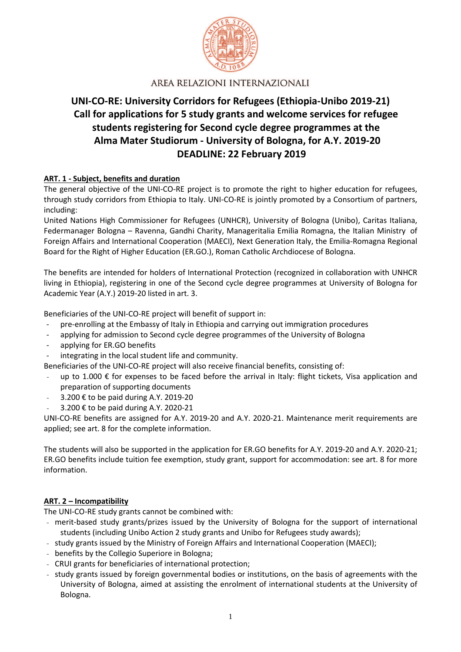

# **UNI-CO-RE: University Corridors for Refugees (Ethiopia-Unibo 2019-21) Call for applications for 5 study grants and welcome services for refugee students registering for Second cycle degree programmes at the Alma Mater Studiorum - University of Bologna, for A.Y. 2019-20 DEADLINE: 22 February 2019**

#### **ART. 1 - Subject, benefits and duration**

The general objective of the UNI-CO-RE project is to promote the right to higher education for refugees, through study corridors from Ethiopia to Italy. UNI-CO-RE is jointly promoted by a Consortium of partners, including:

United Nations High Commissioner for Refugees (UNHCR), University of Bologna (Unibo), Caritas Italiana, Federmanager Bologna – Ravenna, Gandhi Charity, Manageritalia Emilia Romagna, the Italian Ministry of Foreign Affairs and International Cooperation (MAECI), Next Generation Italy, the Emilia-Romagna Regional Board for the Right of Higher Education (ER.GO.), Roman Catholic Archdiocese of Bologna.

The benefits are intended for holders of International Protection (recognized in collaboration with UNHCR living in Ethiopia), registering in one of the Second cycle degree programmes at University of Bologna for Academic Year (A.Y.) 2019-20 listed in art. 3.

Beneficiaries of the UNI-CO-RE project will benefit of support in:

- pre-enrolling at the Embassy of Italy in Ethiopia and carrying out immigration procedures
- applying for admission to Second cycle degree programmes of the University of Bologna
- applying for ER.GO benefits
- integrating in the local student life and community.

Beneficiaries of the UNI-CO-RE project will also receive financial benefits, consisting of:

- up to 1.000  $\epsilon$  for expenses to be faced before the arrival in Italy: flight tickets, Visa application and preparation of supporting documents
- 3.200 € to be paid during A.Y. 2019-20
- 3.200 € to be paid during A.Y. 2020-21

UNI-CO-RE benefits are assigned for A.Y. 2019-20 and A.Y. 2020-21. Maintenance merit requirements are applied; see art. 8 for the complete information.

The students will also be supported in the application for ER.GO benefits for A.Y. 2019-20 and A.Y. 2020-21; ER.GO benefits include tuition fee exemption, study grant, support for accommodation: see art. 8 for more information.

#### **ART. 2 – Incompatibility**

The UNI-CO-RE study grants cannot be combined with:

- merit-based study grants/prizes issued by the University of Bologna for the support of international students (including Unibo Action 2 study grants and Unibo for Refugees study awards);
- study grants issued by the Ministry of Foreign Affairs and International Cooperation (MAECI);
- benefits by the Collegio Superiore in Bologna;
- CRUI grants for beneficiaries of international protection;
- study grants issued by foreign governmental bodies or institutions, on the basis of agreements with the University of Bologna, aimed at assisting the enrolment of international students at the University of Bologna.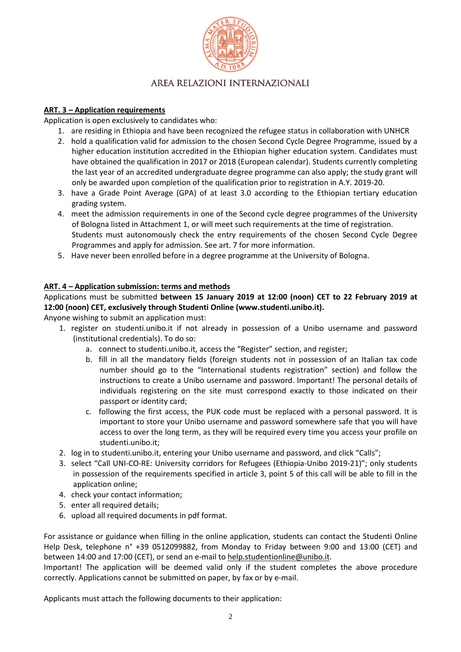

### **ART. 3 – Application requirements**

Application is open exclusively to candidates who:

- 1. are residing in Ethiopia and have been recognized the refugee status in collaboration with UNHCR
- 2. hold a qualification valid for admission to the chosen Second Cycle Degree Programme, issued by a higher education institution accredited in the Ethiopian higher education system. Candidates must have obtained the qualification in 2017 or 2018 (European calendar). Students currently completing the last year of an accredited undergraduate degree programme can also apply; the study grant will only be awarded upon completion of the qualification prior to registration in A.Y. 2019-20.
- 3. have a Grade Point Average (GPA) of at least 3.0 according to the Ethiopian tertiary education grading system.
- 4. meet the admission requirements in one of the Second cycle degree programmes of the University of Bologna listed in Attachment 1, or will meet such requirements at the time of registration. Students must autonomously check the entry requirements of the chosen Second Cycle Degree Programmes and apply for admission. See art. 7 for more information.
- 5. Have never been enrolled before in a degree programme at the University of Bologna.

#### **ART. 4 – Application submission: terms and methods**

Applications must be submitted **between 15 January 2019 at 12:00 (noon) CET to 22 February 2019 at 12:00 (noon) CET, exclusively through Studenti Online (www.studenti.unibo.it).** 

Anyone wishing to submit an application must:

- 1. register on studenti.unibo.it if not already in possession of a Unibo username and password (institutional credentials). To do so:
	- a. connect to studenti.unibo.it, access the "Register" section, and register;
	- b. fill in all the mandatory fields (foreign students not in possession of an Italian tax code number should go to the "International students registration" section) and follow the instructions to create a Unibo username and password. Important! The personal details of individuals registering on the site must correspond exactly to those indicated on their passport or identity card;
	- c. following the first access, the PUK code must be replaced with a personal password. It is important to store your Unibo username and password somewhere safe that you will have access to over the long term, as they will be required every time you access your profile on studenti.unibo.it;
- 2. log in to studenti.unibo.it, entering your Unibo username and password, and click "Calls";
- 3. select "Call UNI-CO-RE: University corridors for Refugees (Ethiopia-Unibo 2019-21)"; only students in possession of the requirements specified in article 3, point 5 of this call will be able to fill in the application online;
- 4. check your contact information;
- 5. enter all required details;
- 6. upload all required documents in pdf format.

For assistance or guidance when filling in the online application, students can contact the Studenti Online Help Desk, telephone n° +39 0512099882, from Monday to Friday between 9:00 and 13:00 (CET) and between 14:00 and 17:00 (CET), or send an e-mail to help.studentionline@unibo.it.

Important! The application will be deemed valid only if the student completes the above procedure correctly. Applications cannot be submitted on paper, by fax or by e-mail.

Applicants must attach the following documents to their application: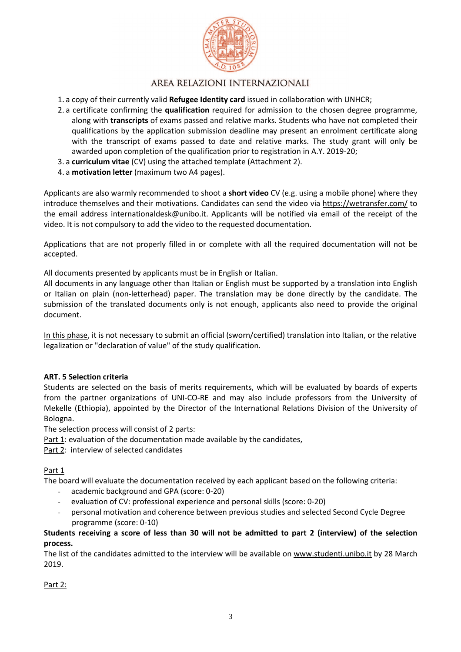

- 1. a copy of their currently valid **Refugee Identity card** issued in collaboration with UNHCR;
- 2. a certificate confirming the **qualification** required for admission to the chosen degree programme, along with **transcripts** of exams passed and relative marks. Students who have not completed their qualifications by the application submission deadline may present an enrolment certificate along with the transcript of exams passed to date and relative marks. The study grant will only be awarded upon completion of the qualification prior to registration in A.Y. 2019-20;
- 3. a **curriculum vitae** (CV) using the attached template (Attachment 2).
- 4. a **motivation letter** (maximum two A4 pages).

Applicants are also warmly recommended to shoot a **short video** CV (e.g. using a mobile phone) where they introduce themselves and their motivations. Candidates can send the video via https://wetransfer.com/ to the email address internationaldesk@unibo.it. Applicants will be notified via email of the receipt of the video. It is not compulsory to add the video to the requested documentation.

Applications that are not properly filled in or complete with all the required documentation will not be accepted.

All documents presented by applicants must be in English or Italian.

All documents in any language other than Italian or English must be supported by a translation into English or Italian on plain (non-letterhead) paper. The translation may be done directly by the candidate. The submission of the translated documents only is not enough, applicants also need to provide the original document.

In this phase, it is not necessary to submit an official (sworn/certified) translation into Italian, or the relative legalization or "declaration of value" of the study qualification.

#### **ART. 5 Selection criteria**

Students are selected on the basis of merits requirements, which will be evaluated by boards of experts from the partner organizations of UNI-CO-RE and may also include professors from the University of Mekelle (Ethiopia), appointed by the Director of the International Relations Division of the University of Bologna.

The selection process will consist of 2 parts:

Part 1: evaluation of the documentation made available by the candidates,

Part 2: interview of selected candidates

Part 1

The board will evaluate the documentation received by each applicant based on the following criteria:

- academic background and GPA (score: 0-20)
- evaluation of CV: professional experience and personal skills (score: 0-20)
- personal motivation and coherence between previous studies and selected Second Cycle Degree programme (score: 0-10)

**Students receiving a score of less than 30 will not be admitted to part 2 (interview) of the selection process.** 

The list of the candidates admitted to the interview will be available on www.studenti.unibo.it by 28 March 2019.

Part 2: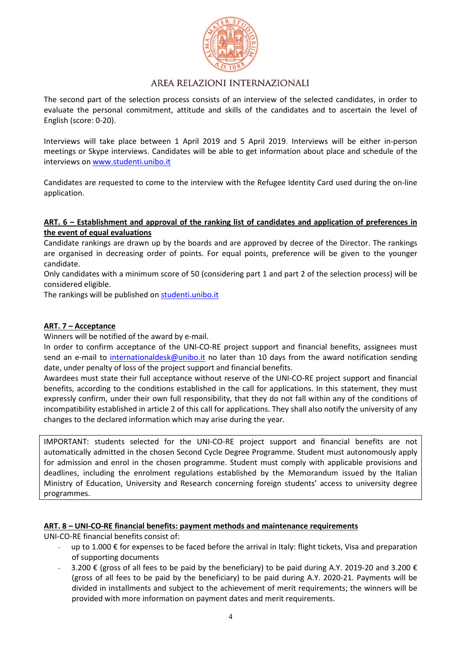

The second part of the selection process consists of an interview of the selected candidates, in order to evaluate the personal commitment, attitude and skills of the candidates and to ascertain the level of English (score: 0-20).

Interviews will take place between 1 April 2019 and 5 April 2019. Interviews will be either in-person meetings or Skype interviews. Candidates will be able to get information about place and schedule of the interviews on www.studenti.unibo.it

Candidates are requested to come to the interview with the Refugee Identity Card used during the on-line application.

#### **ART. 6 – Establishment and approval of the ranking list of candidates and application of preferences in the event of equal evaluations**

Candidate rankings are drawn up by the boards and are approved by decree of the Director. The rankings are organised in decreasing order of points. For equal points, preference will be given to the younger candidate.

Only candidates with a minimum score of 50 (considering part 1 and part 2 of the selection process) will be considered eligible.

The rankings will be published on studenti.unibo.it

#### **ART. 7 – Acceptance**

Winners will be notified of the award by e-mail.

In order to confirm acceptance of the UNI-CO-RE project support and financial benefits, assignees must send an e-mail to internationaldesk@unibo.it no later than 10 days from the award notification sending date, under penalty of loss of the project support and financial benefits.

Awardees must state their full acceptance without reserve of the UNI-CO-RE project support and financial benefits, according to the conditions established in the call for applications. In this statement, they must expressly confirm, under their own full responsibility, that they do not fall within any of the conditions of incompatibility established in article 2 of this call for applications. They shall also notify the university of any changes to the declared information which may arise during the year.

IMPORTANT: students selected for the UNI-CO-RE project support and financial benefits are not automatically admitted in the chosen Second Cycle Degree Programme. Student must autonomously apply for admission and enrol in the chosen programme. Student must comply with applicable provisions and deadlines, including the enrolment regulations established by the Memorandum issued by the Italian Ministry of Education, University and Research concerning foreign students' access to university degree programmes.

#### **ART. 8 – UNI-CO-RE financial benefits: payment methods and maintenance requirements**

UNI-CO-RE financial benefits consist of:

- up to 1.000  $\epsilon$  for expenses to be faced before the arrival in Italy: flight tickets, Visa and preparation of supporting documents
- 3.200 € (gross of all fees to be paid by the beneficiary) to be paid during A.Y. 2019-20 and 3.200 € (gross of all fees to be paid by the beneficiary) to be paid during A.Y. 2020-21. Payments will be divided in installments and subject to the achievement of merit requirements; the winners will be provided with more information on payment dates and merit requirements.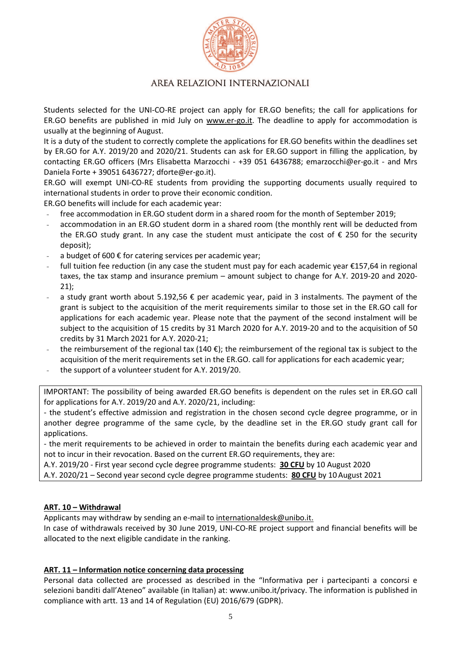

Students selected for the UNI-CO-RE project can apply for ER.GO benefits; the call for applications for ER.GO benefits are published in mid July on www.er-go.it. The deadline to apply for accommodation is usually at the beginning of August.

It is a duty of the student to correctly complete the applications for ER.GO benefits within the deadlines set by ER.GO for A.Y. 2019/20 and 2020/21. Students can ask for ER.GO support in filling the application, by contacting ER.GO officers (Mrs Elisabetta Marzocchi - +39 051 6436788; emarzocchi@er-go.it - and Mrs Daniela Forte + 39051 6436727; dforte@er-go.it).

ER.GO will exempt UNI-CO-RE students from providing the supporting documents usually required to international students in order to prove their economic condition.

ER.GO benefits will include for each academic year:

- free accommodation in ER.GO student dorm in a shared room for the month of September 2019;
- accommodation in an ER.GO student dorm in a shared room (the monthly rent will be deducted from the ER.GO study grant. In any case the student must anticipate the cost of  $\epsilon$  250 for the security deposit);
- a budget of 600  $\epsilon$  for catering services per academic year;
- full tuition fee reduction (in any case the student must pay for each academic year €157,64 in regional taxes, the tax stamp and insurance premium – amount subject to change for A.Y. 2019-20 and 2020- 21);
- a study grant worth about 5.192,56  $\epsilon$  per academic year, paid in 3 instalments. The payment of the grant is subject to the acquisition of the merit requirements similar to those set in the ER.GO call for applications for each academic year. Please note that the payment of the second instalment will be subject to the acquisition of 15 credits by 31 March 2020 for A.Y. 2019-20 and to the acquisition of 50 credits by 31 March 2021 for A.Y. 2020-21;
- the reimbursement of the regional tax (140  $\epsilon$ ); the reimbursement of the regional tax is subject to the acquisition of the merit requirements set in the ER.GO. call for applications for each academic year;
- the support of a volunteer student for A.Y. 2019/20.

IMPORTANT: The possibility of being awarded ER.GO benefits is dependent on the rules set in ER.GO call for applications for A.Y. 2019/20 and A.Y. 2020/21, including:

- the student's effective admission and registration in the chosen second cycle degree programme, or in another degree programme of the same cycle, by the deadline set in the ER.GO study grant call for applications.

- the merit requirements to be achieved in order to maintain the benefits during each academic year and not to incur in their revocation. Based on the current ER.GO requirements, they are:

A.Y. 2019/20 - First year second cycle degree programme students: **30 CFU** by 10 August 2020 A.Y. 2020/21 – Second year second cycle degree programme students: **80 CFU** by 10 August 2021

#### **ART. 10 – Withdrawal**

Applicants may withdraw by sending an e-mail to internationaldesk@unibo.it.

In case of withdrawals received by 30 June 2019, UNI-CO-RE project support and financial benefits will be allocated to the next eligible candidate in the ranking.

#### **ART. 11 – Information notice concerning data processing**

Personal data collected are processed as described in the "Informativa per i partecipanti a concorsi e selezioni banditi dall'Ateneo" available (in Italian) at: www.unibo.it/privacy. The information is published in compliance with artt. 13 and 14 of Regulation (EU) 2016/679 (GDPR).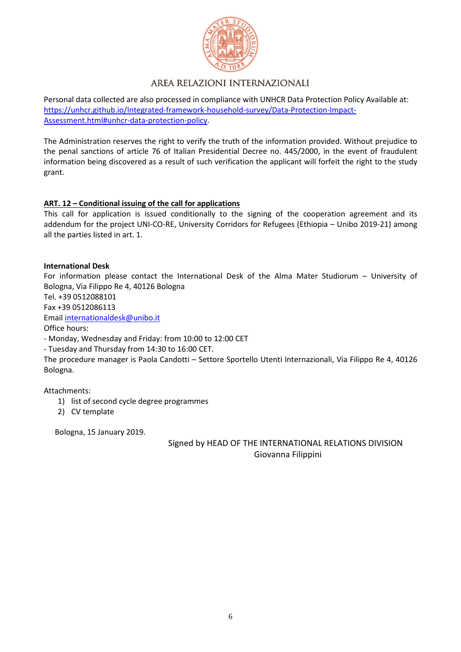

Personal data collected are also processed in compliance with UNHCR Data Protection Policy Available at: https://unhcr.github.io/Integrated-framework-household-survey/Data-Protection-Impact-Assessment.html#unhcr-data-protection-policy.

The Administration reserves the right to verify the truth of the information provided. Without prejudice to the penal sanctions of article 76 of Italian Presidential Decree no. 445/2000, in the event of fraudulent information being discovered as a result of such verification the applicant will forfeit the right to the study grant.

### **ART. 12 – Conditional issuing of the call for applications**

This call for application is issued conditionally to the signing of the cooperation agreement and its addendum for the project UNI-CO-RE, University Corridors for Refugees (Ethiopia – Unibo 2019-21) among all the parties listed in art. 1.

#### **International Desk**

For information please contact the International Desk of the Alma Mater Studiorum – University of Bologna, Via Filippo Re 4, 40126 Bologna

Tel. +39 0512088101

Fax +39 0512086113

Email internationaldesk@unibo.it

Office hours:

- Monday, Wednesday and Friday: from 10:00 to 12:00 CET

- Tuesday and Thursday from 14:30 to 16:00 CET.

The procedure manager is Paola Candotti – Settore Sportello Utenti Internazionali, Via Filippo Re 4, 40126 Bologna.

Attachments:

- 1) list of second cycle degree programmes
- 2) CV template

Bologna, 15 January 2019.

 Signed by HEAD OF THE INTERNATIONAL RELATIONS DIVISION Giovanna Filippini